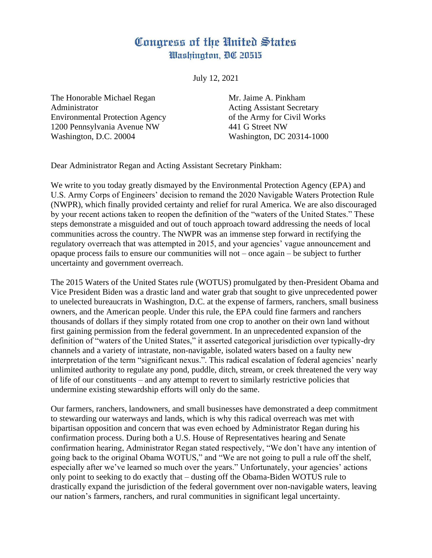## Congress of the United States Washington, DC 20515

July 12, 2021

The Honorable Michael Regan Mr. Jaime A. Pinkham Administrator **Acting Assistant Secretary** Environmental Protection Agency of the Army for Civil Works 1200 Pennsylvania Avenue NW 441 G Street NW Washington, D.C. 20004 Washington, DC 20314-1000

Dear Administrator Regan and Acting Assistant Secretary Pinkham:

We write to you today greatly dismayed by the Environmental Protection Agency (EPA) and U.S. Army Corps of Engineers' decision to remand the 2020 Navigable Waters Protection Rule (NWPR), which finally provided certainty and relief for rural America. We are also discouraged by your recent actions taken to reopen the definition of the "waters of the United States." These steps demonstrate a misguided and out of touch approach toward addressing the needs of local communities across the country. The NWPR was an immense step forward in rectifying the regulatory overreach that was attempted in 2015, and your agencies' vague announcement and opaque process fails to ensure our communities will not – once again – be subject to further uncertainty and government overreach.

The 2015 Waters of the United States rule (WOTUS) promulgated by then-President Obama and Vice President Biden was a drastic land and water grab that sought to give unprecedented power to unelected bureaucrats in Washington, D.C. at the expense of farmers, ranchers, small business owners, and the American people. Under this rule, the EPA could fine farmers and ranchers thousands of dollars if they simply rotated from one crop to another on their own land without first gaining permission from the federal government. In an unprecedented expansion of the definition of "waters of the United States," it asserted categorical jurisdiction over typically-dry channels and a variety of intrastate, non-navigable, isolated waters based on a faulty new interpretation of the term "significant nexus.". This radical escalation of federal agencies' nearly unlimited authority to regulate any pond, puddle, ditch, stream, or creek threatened the very way of life of our constituents – and any attempt to revert to similarly restrictive policies that undermine existing stewardship efforts will only do the same.

Our farmers, ranchers, landowners, and small businesses have demonstrated a deep commitment to stewarding our waterways and lands, which is why this radical overreach was met with bipartisan opposition and concern that was even echoed by Administrator Regan during his confirmation process. During both a U.S. House of Representatives hearing and Senate confirmation hearing, Administrator Regan stated respectively, "We don't have any intention of going back to the original Obama WOTUS," and "We are not going to pull a rule off the shelf, especially after we've learned so much over the years." Unfortunately, your agencies' actions only point to seeking to do exactly that – dusting off the Obama-Biden WOTUS rule to drastically expand the jurisdiction of the federal government over non-navigable waters, leaving our nation's farmers, ranchers, and rural communities in significant legal uncertainty.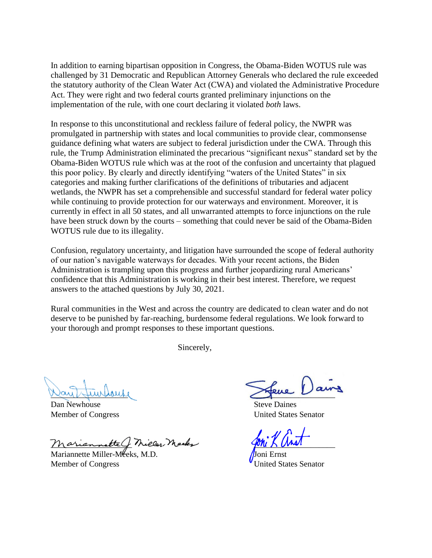In addition to earning bipartisan opposition in Congress, the Obama-Biden WOTUS rule was challenged by 31 Democratic and Republican Attorney Generals who declared the rule exceeded the statutory authority of the Clean Water Act (CWA) and violated the Administrative Procedure Act. They were right and two federal courts granted preliminary injunctions on the implementation of the rule, with one court declaring it violated *both* laws.

In response to this unconstitutional and reckless failure of federal policy, the NWPR was promulgated in partnership with states and local communities to provide clear, commonsense guidance defining what waters are subject to federal jurisdiction under the CWA. Through this rule, the Trump Administration eliminated the precarious "significant nexus" standard set by the Obama-Biden WOTUS rule which was at the root of the confusion and uncertainty that plagued this poor policy. By clearly and directly identifying "waters of the United States" in six categories and making further clarifications of the definitions of tributaries and adjacent wetlands, the NWPR has set a comprehensible and successful standard for federal water policy while continuing to provide protection for our waterways and environment. Moreover, it is currently in effect in all 50 states, and all unwarranted attempts to force injunctions on the rule have been struck down by the courts – something that could never be said of the Obama-Biden WOTUS rule due to its illegality.

Confusion, regulatory uncertainty, and litigation have surrounded the scope of federal authority of our nation's navigable waterways for decades. With your recent actions, the Biden Administration is trampling upon this progress and further jeopardizing rural Americans' confidence that this Administration is working in their best interest. Therefore, we request answers to the attached questions by July 30, 2021.

Rural communities in the West and across the country are dedicated to clean water and do not deserve to be punished by far-reaching, burdensome federal regulations. We look forward to your thorough and prompt responses to these important questions.

Sincerely,

Dan Newhouse Steve Daines

Mariannette C. Miller, Mecks

Mariannette Miller-Meeks, M.D. Joni Ernst Member of Congress The Congress Congress Congress Congress Congress Congress Congress Congress Congress Congress Congress Congress Congress Congress Congress Congress Congress Congress Congress Congress Congress Congress C

Nay Hurston's

Member of Congress United States Senator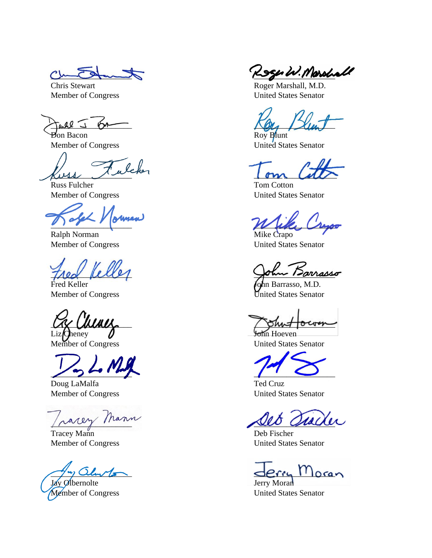**Don Bacon** Roy Blunt

 $kust \sim \omega$ 

Russ Fulcher Tom Cotton

 $N$  if  $\mu$ 

Ralph Norman Mike Crapo

Fred Keller **John Barrasso, M.D.** 

 $\sqrt{2\pi r}$ 

Doug LaMalfa Ted Cruz

\_\_\_\_\_\_\_\_\_\_\_\_\_\_\_\_\_\_\_\_ \_\_\_\_\_\_\_\_\_\_\_\_\_\_\_\_\_\_\_\_

Tracey Mann Deb Fischer Member of Congress United States Senator

Jay Olbernolte Jerry Moran Member of Congress United States Senator

 $Cn\rightarrow T$  Roger W. Marshall

**Chris Stewart Chris Stewart Roger Marshall, M.D.** Member of Congress United States Senator

 $\frac{1}{\sqrt{24}}$ 

Member of Congress United States Senator

Member of Congress United States Senator

Member of Congress United States Senator

Trea Perror Barrass

Member of Congress United States Senator

 $\alpha$  unity  $\alpha$ 

Liz Cheney  $\sqrt{ }$  John Hoeven Member of Congress United States Senator

Member of Congress United States Senator

 $\alpha$ lunto  $\alpha$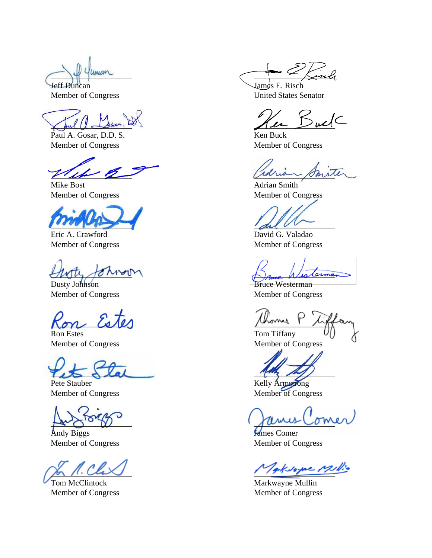$\chi$  and  $\mu$  assumed to the set of the set of the set of the set of the set of the set of the set of the set of the set of the set of the set of the set of the set of the set of the set of the set of the set of the set o

Paul A. Gosar, D.D. S. Ken Buck Member of Congress Member of Congress

The point of the means of the same

Mike Bost **Adrian Smith** 

 $\frac{d}{d\mu}$ 

Eric A. Crawford David G. Valadao Member of Congress Member of Congress

 $\bigcup_{\mathcal{U}}\bigcup_{\mathcal{U}}\bigcap_{\mathcal{U}}\bigcap_{\mathcal{U}}\bigcap_{\mathcal{U}}\bigcap_{\mathcal{U}}\bigcap_{\mathcal{U}}\bigcap_{\mathcal{U}}\bigcup_{\mathcal{U}}\bigcap_{\mathcal{U}}\bigcap_{\mathcal{U}}\bigcap_{\mathcal{U}}\bigcap_{\mathcal{U}}\bigcap_{\mathcal{U}}\bigcap_{\mathcal{U}}\bigcap_{\mathcal{U}}\bigcap_{\mathcal{U}}\bigcap_{\mathcal{U}}\bigcap_{\mathcal{U}}\bigcap_{\mathcal{U}}\bigcap_{\mathcal{U}}\bigcap_{\mathcal{U}}$ 

Dusty Johnson Bruce Westerman Member of Congress Member of Congress

 $\omega$  Estes thermal

Ron Estes Tom Tiffany

 $\frac{1}{25}$  del  $\frac{1}{2}$ 

Andy Biggs **James Comer** Member of Congress Member of Congress

Tom McClintock Markwayne Mullin Member of Congress Member of Congress

 $\sim$   $\sim$   $\sim$   $\sim$   $\sim$ 

Jeff Duncan James E. Risch Member of Congress United States Senator

Member of Congress Member of Congress

Member of Congress Member of Congress

Pete Stauber Kelly Armstrong Member of Congress Member of Congress

 $\mu_{\alpha\beta}$  or  $\nu$ 

Tacksame Millio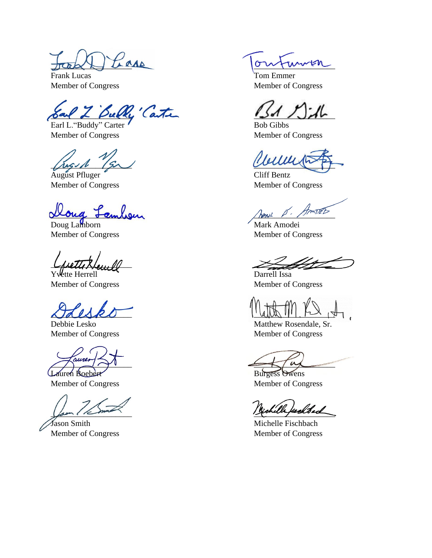Frank Lucas Tom Emmer

of Bully' Carter 151 / John Earl L. "Buddy" Carter Bob Gibbs

Member of Congress Member of Congress

 $\mu$   $\beta$ 

August Pfluger Cliff Bentz

Doug Lamborn Mark Amodei

Lauren Boebert Burgess Owens

Member of Congress Member of Congress

Jason Smith Michelle Fischbach

PLAAD ToutumEn

Member of Congress Member of Congress

Member of Congress Member of Congress

oug <del>Sa</del>mbour

Member of Congress Member of Congress

\_\_\_\_\_\_\_\_\_\_\_\_\_\_\_\_\_\_\_\_ \_\_\_\_\_\_\_\_\_\_\_\_\_\_\_\_\_\_\_\_

Yvette Herrell The Darrell Issa Member of Congress Member of Congress

 $\Delta T d\Delta R0$   $||\sin \theta|||_{1} \approx 1$ 

Debbie Lesko Matthew Rosendale, Sr. Member of Congress Member of Congress

 $\sum_{i=1}^n u_i$ 

Michelle fackbach

Member of Congress Member of Congress